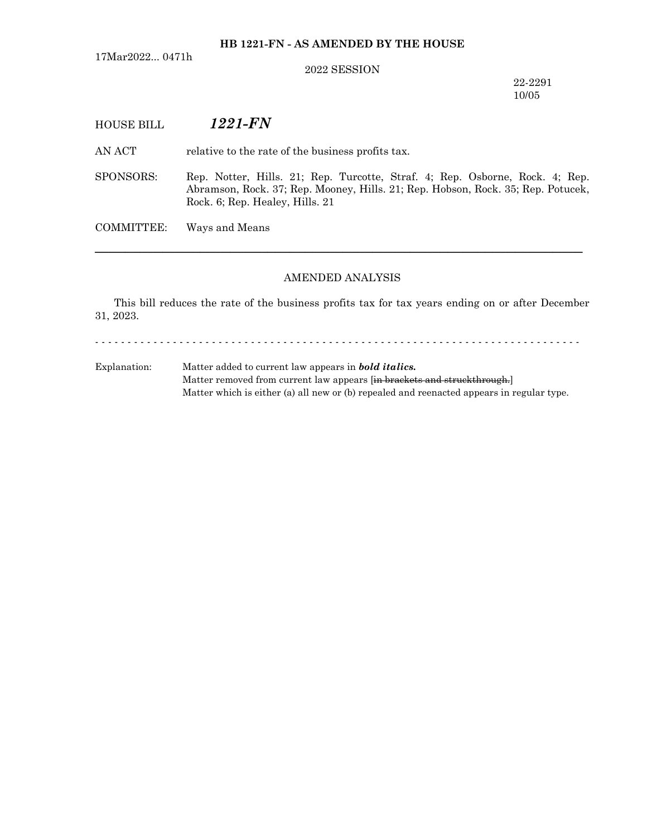17Mar2022... 0471h

### 2022 SESSION

22-2291 10/05

# HOUSE BILL *1221-FN*

AN ACT relative to the rate of the business profits tax.

SPONSORS: Rep. Notter, Hills. 21; Rep. Turcotte, Straf. 4; Rep. Osborne, Rock. 4; Rep. Abramson, Rock. 37; Rep. Mooney, Hills. 21; Rep. Hobson, Rock. 35; Rep. Potucek, Rock. 6; Rep. Healey, Hills. 21

COMMITTEE: Ways and Means

#### AMENDED ANALYSIS

─────────────────────────────────────────────────────────────────

This bill reduces the rate of the business profits tax for tax years ending on or after December 31, 2023.

- - - - - - - - - - - - - - - - - - - - - - - - - - - - - - - - - - - - - - - - - - - - - - - - - - - - - - - - - - - - - - - - - - - - - - - - - - -

Explanation: Matter added to current law appears in *bold italics.* Matter removed from current law appears [in brackets and struckthrough.] Matter which is either (a) all new or (b) repealed and reenacted appears in regular type.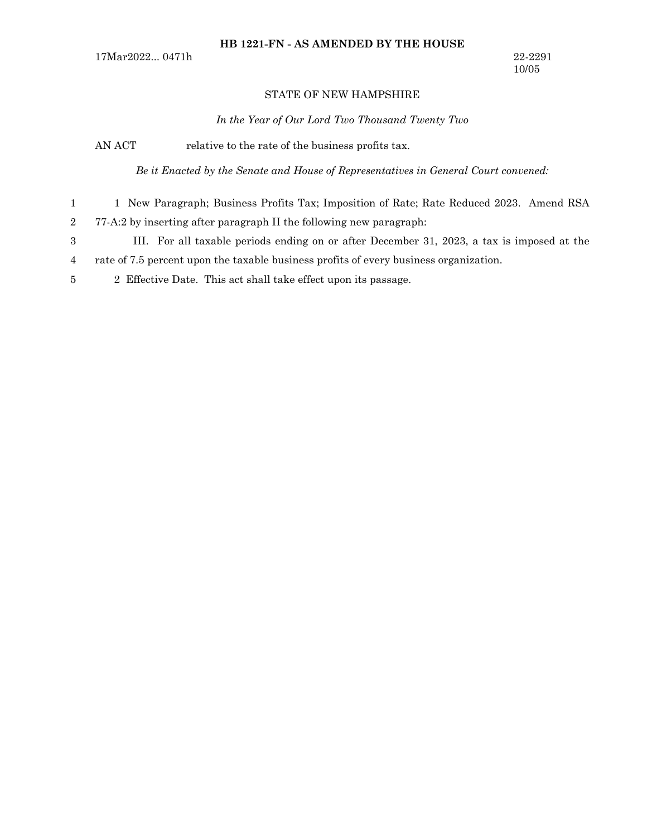## STATE OF NEW HAMPSHIRE

*In the Year of Our Lord Two Thousand Twenty Two*

AN ACT relative to the rate of the business profits tax.

*Be it Enacted by the Senate and House of Representatives in General Court convened:*

- 1 New Paragraph; Business Profits Tax; Imposition of Rate; Rate Reduced 2023. Amend RSA 77-A:2 by inserting after paragraph II the following new paragraph: 1 2
- III. For all taxable periods ending on or after December 31, 2023, a tax is imposed at the 3
- rate of 7.5 percent upon the taxable business profits of every business organization. 4
- 2 Effective Date. This act shall take effect upon its passage. 5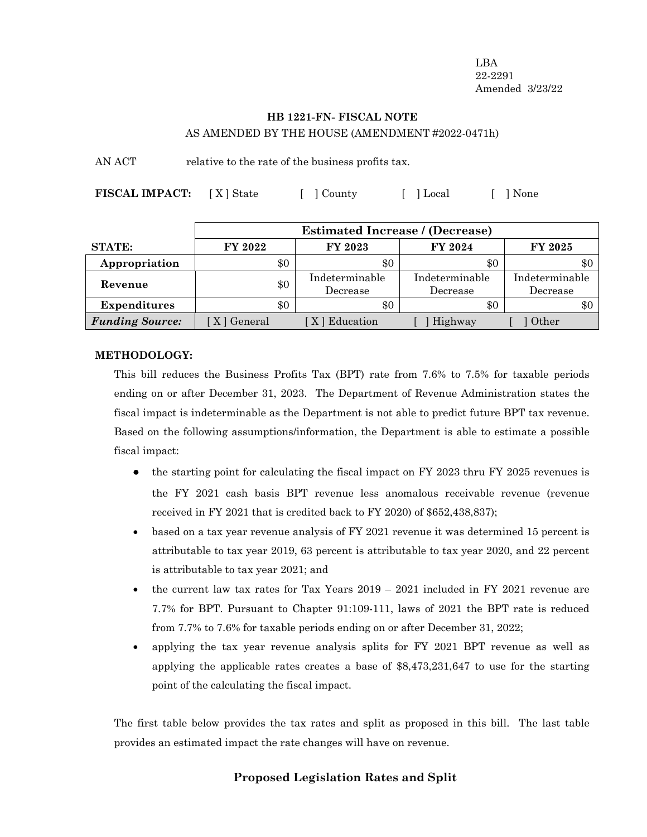LBA 22-2291 Amended 3/23/22

## **HB 1221-FN- FISCAL NOTE** AS AMENDED BY THE HOUSE (AMENDMENT #2022-0471h)

AN ACT relative to the rate of the business profits tax.

**FISCAL IMPACT:** [X] State [ ] County [ ] Local [ ] None

|                        | <b>Estimated Increase / (Decrease)</b> |                            |                            |                            |  |
|------------------------|----------------------------------------|----------------------------|----------------------------|----------------------------|--|
| <b>STATE:</b>          | FY 2022                                | FY 2023                    | FY 2024                    | FY 2025                    |  |
| Appropriation          | \$0                                    | \$0                        | $\$0$                      | \$0                        |  |
| Revenue                | \$0                                    | Indeterminable<br>Decrease | Indeterminable<br>Decrease | Indeterminable<br>Decrease |  |
| <b>Expenditures</b>    | \$0                                    | \$0                        | $\$0$                      | \$0                        |  |
| <b>Funding Source:</b> | [ X ] General                          | [X] Education              | Highway                    | Other                      |  |

### **METHODOLOGY:**

This bill reduces the Business Profits Tax (BPT) rate from 7.6% to 7.5% for taxable periods ending on or after December 31, 2023. The Department of Revenue Administration states the fiscal impact is indeterminable as the Department is not able to predict future BPT tax revenue. Based on the following assumptions/information, the Department is able to estimate a possible fiscal impact:

- the starting point for calculating the fiscal impact on FY 2023 thru FY 2025 revenues is the FY 2021 cash basis BPT revenue less anomalous receivable revenue (revenue received in FY 2021 that is credited back to FY 2020) of \$652,438,837);
- based on a tax year revenue analysis of FY 2021 revenue it was determined 15 percent is attributable to tax year 2019, 63 percent is attributable to tax year 2020, and 22 percent is attributable to tax year 2021; and
- the current law tax rates for Tax Years  $2019 2021$  included in FY 2021 revenue are 7.7% for BPT. Pursuant to Chapter 91:109-111, laws of 2021 the BPT rate is reduced from 7.7% to 7.6% for taxable periods ending on or after December 31, 2022;
- · applying the tax year revenue analysis splits for FY 2021 BPT revenue as well as applying the applicable rates creates a base of \$8,473,231,647 to use for the starting point of the calculating the fiscal impact.

The first table below provides the tax rates and split as proposed in this bill. The last table provides an estimated impact the rate changes will have on revenue.

# **Proposed Legislation Rates and Split**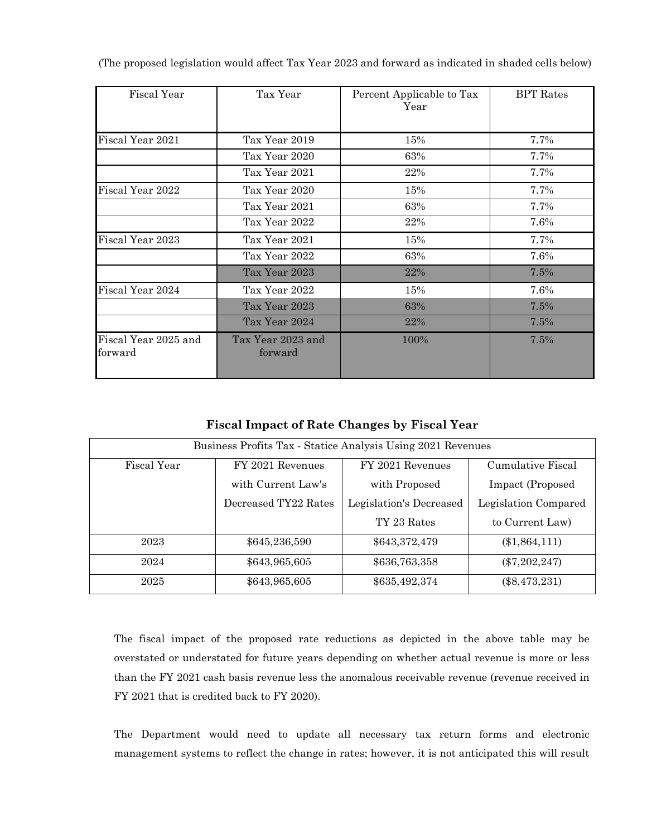| Fiscal Year                     | Tax Year                     | Percent Applicable to Tax<br>Year | <b>BPT</b> Rates |
|---------------------------------|------------------------------|-----------------------------------|------------------|
|                                 |                              |                                   |                  |
| Fiscal Year 2021                | Tax Year 2019                | 15%                               | 7.7%             |
|                                 | Tax Year 2020                | 63%                               | 7.7%             |
|                                 | Tax Year 2021                | 22%                               | 7.7%             |
| Fiscal Year 2022                | Tax Year 2020                | 15%                               | 7.7%             |
|                                 | Tax Year 2021                | 63%                               | 7.7%             |
|                                 | Tax Year 2022                | 22%                               | 7.6%             |
| Fiscal Year 2023                | Tax Year 2021                | 15%                               | 7.7%             |
|                                 | Tax Year 2022                | 63%                               | 7.6%             |
|                                 | Tax Year 2023                | 22%                               | 7.5%             |
| Fiscal Year 2024                | Tax Year 2022                | 15%                               | 7.6%             |
|                                 | Tax Year 2023                | 63%                               | 7.5%             |
|                                 | Tax Year 2024                | 22%                               | 7.5%             |
| Fiscal Year 2025 and<br>forward | Tax Year 2023 and<br>forward | 100%                              | 7.5%             |

(The proposed legislation would affect Tax Year 2023 and forward as indicated in shaded cells below)

**Fiscal Impact of Rate Changes by Fiscal Year**

| Business Profits Tax - Statice Analysis Using 2021 Revenues |                      |                         |                      |  |  |  |
|-------------------------------------------------------------|----------------------|-------------------------|----------------------|--|--|--|
| Fiscal Year                                                 | FY 2021 Revenues     |                         | Cumulative Fiscal    |  |  |  |
|                                                             | with Current Law's   | with Proposed           | Impact (Proposed     |  |  |  |
|                                                             | Decreased TY22 Rates | Legislation's Decreased | Legislation Compared |  |  |  |
|                                                             |                      | TY 23 Rates             | to Current Law)      |  |  |  |
| 2023                                                        | \$645,236,590        | \$643,372,479           | $(\$1,864,111)$      |  |  |  |
| 2024                                                        | \$643,965,605        | \$636,763,358           | $(\$7,202,247)$      |  |  |  |
| 2025                                                        | \$643,965,605        | \$635,492,374           | $(\$8,473,231)$      |  |  |  |

The fiscal impact of the proposed rate reductions as depicted in the above table may be overstated or understated for future years depending on whether actual revenue is more or less than the FY 2021 cash basis revenue less the anomalous receivable revenue (revenue received in FY 2021 that is credited back to FY 2020).

The Department would need to update all necessary tax return forms and electronic management systems to reflect the change in rates; however, it is not anticipated this will result